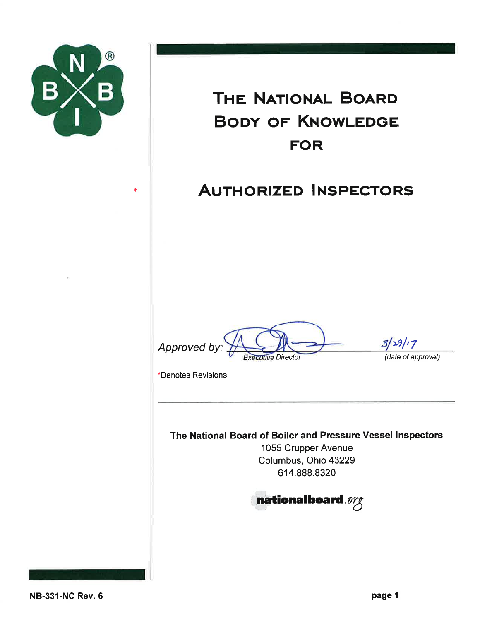

 $\ast$ 

# THE NATIONAL BOARD **BODY OF KNOWLEDGE FOR**

## **AUTHORIZED INSPECTORS**

Approved by **Executive Director** 

 $3/29/7$ 

(date of approval)

\*Denotes Revisions

The National Board of Boiler and Pressure Vessel Inspectors

1055 Crupper Avenue Columbus, Ohio 43229 614.888.8320

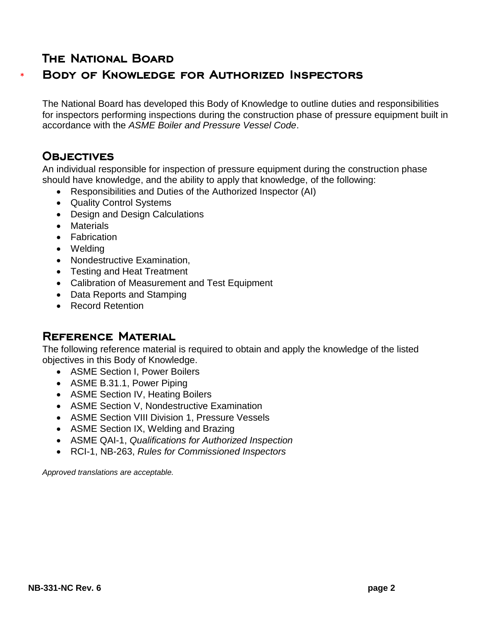## **THE NATIONAL BOARD**

## **BODY OF KNOWLEDGE FOR AUTHORIZED INSPECTORS**

The National Board has developed this Body of Knowledge to outline duties and responsibilities for inspectors performing inspections during the construction phase of pressure equipment built in accordance with the *ASME Boiler and Pressure Vessel Code*.

## **OBJECTIVES**

\*

An individual responsible for inspection of pressure equipment during the construction phase should have knowledge, and the ability to apply that knowledge, of the following:

- Responsibilities and Duties of the Authorized Inspector (AI)
- Quality Control Systems
- Design and Design Calculations
- Materials
- Fabrication
- Welding
- Nondestructive Examination,
- Testing and Heat Treatment
- Calibration of Measurement and Test Equipment
- Data Reports and Stamping
- Record Retention

## **REFERENCE MATERIAL**

The following reference material is required to obtain and apply the knowledge of the listed objectives in this Body of Knowledge.

- ASME Section I, Power Boilers
- ASME B.31.1, Power Piping
- ASME Section IV, Heating Boilers
- ASME Section V, Nondestructive Examination
- ASME Section VIII Division 1, Pressure Vessels
- ASME Section IX, Welding and Brazing
- ASME QAI-1, *Qualifications for Authorized Inspection*
- RCI-1, NB-263, *Rules for Commissioned Inspectors*

*Approved translations are acceptable.*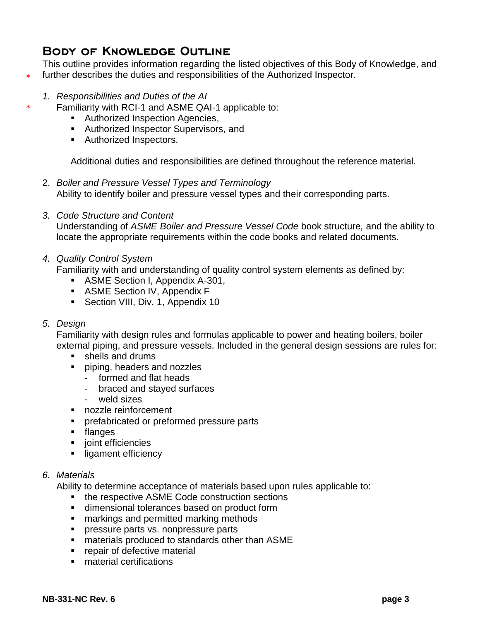## **BODY OF KNOWLEDGE OUTLINE**

This outline provides information regarding the listed objectives of this Body of Knowledge, and further describes the duties and responsibilities of the Authorized Inspector.

- *1. Responsibilities and Duties of the AI*
- Familiarity with RCI-1 and ASME QAI-1 applicable to:
	- **Authorized Inspection Agencies,**
	- **Authorized Inspector Supervisors, and**
	- **Authorized Inspectors.**

Additional duties and responsibilities are defined throughout the reference material.

- 2. *Boiler and Pressure Vessel Types and Terminology* Ability to identify boiler and pressure vessel types and their corresponding parts.
- *3. Code Structure and Content* Understanding of *ASME Boiler and Pressure Vessel Code* book structure*,* and the ability to

locate the appropriate requirements within the code books and related documents.

*4. Quality Control System*

Familiarity with and understanding of quality control system elements as defined by:

- **ASME Section I, Appendix A-301,**
- ASME Section IV, Appendix F
- Section VIII, Div. 1, Appendix 10

#### *5. Design*

\*

\*

Familiarity with design rules and formulas applicable to power and heating boilers, boiler external piping, and pressure vessels. Included in the general design sessions are rules for:

- **shells and drums**
- **piping, headers and nozzles** 
	- formed and flat heads
	- braced and stayed surfaces
	- weld sizes
- **nozzle reinforcement**
- **PEDRIFF PREFEITHER** preformed pressure parts
- **flanges**
- joint efficiencies
- **I** ligament efficiency

#### *6. Materials*

Ability to determine acceptance of materials based upon rules applicable to:

- the respective ASME Code construction sections
- **EXECUTE:** dimensional tolerances based on product form
- **narkings and permitted marking methods**
- **PEDREGIST:** pressure parts vs. nonpressure parts
- materials produced to standards other than ASME
- **Parameler in The Prepair of defective material**
- **naterial certifications**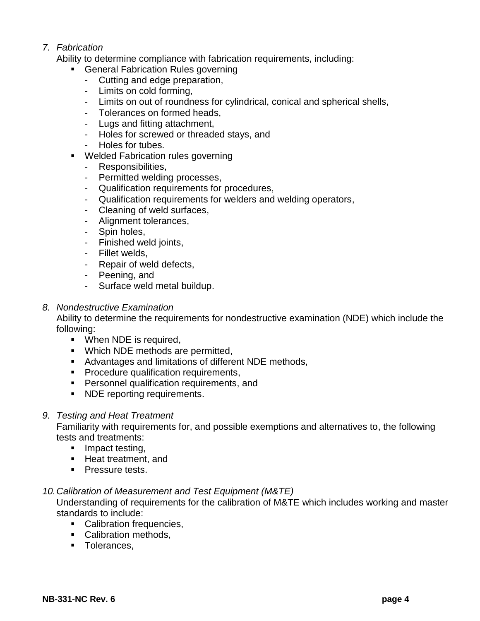#### *7. Fabrication*

Ability to determine compliance with fabrication requirements, including:

- **General Fabrication Rules governing** 
	- Cutting and edge preparation,
	- Limits on cold forming,
	- Limits on out of roundness for cylindrical, conical and spherical shells,
	- Tolerances on formed heads,
	- Lugs and fitting attachment,
	- Holes for screwed or threaded stays, and
	- Holes for tubes.
- Welded Fabrication rules governing
	- Responsibilities,
	- Permitted welding processes,
	- Qualification requirements for procedures,
	- Qualification requirements for welders and welding operators,
	- Cleaning of weld surfaces,
	- Alignment tolerances,
	- Spin holes,
	- Finished weld joints,
	- Fillet welds,
	- Repair of weld defects,
	- Peening, and
	- Surface weld metal buildup.

#### *8. Nondestructive Examination*

Ability to determine the requirements for nondestructive examination (NDE) which include the following:

- **•** When NDE is required,
- **Which NDE methods are permitted,**
- Advantages and limitations of different NDE methods,
- **Procedure qualification requirements,**
- **Personnel qualification requirements, and**
- **NDE** reporting requirements.
- *9. Testing and Heat Treatment*

Familiarity with requirements for, and possible exemptions and alternatives to, the following tests and treatments:

- $\blacksquare$  Impact testing,
- Heat treatment, and
- **Pressure tests.**

#### *10.Calibration of Measurement and Test Equipment (M&TE)*

Understanding of requirements for the calibration of M&TE which includes working and master standards to include:

- Calibration frequencies.
- Calibration methods,
- **Tolerances,**